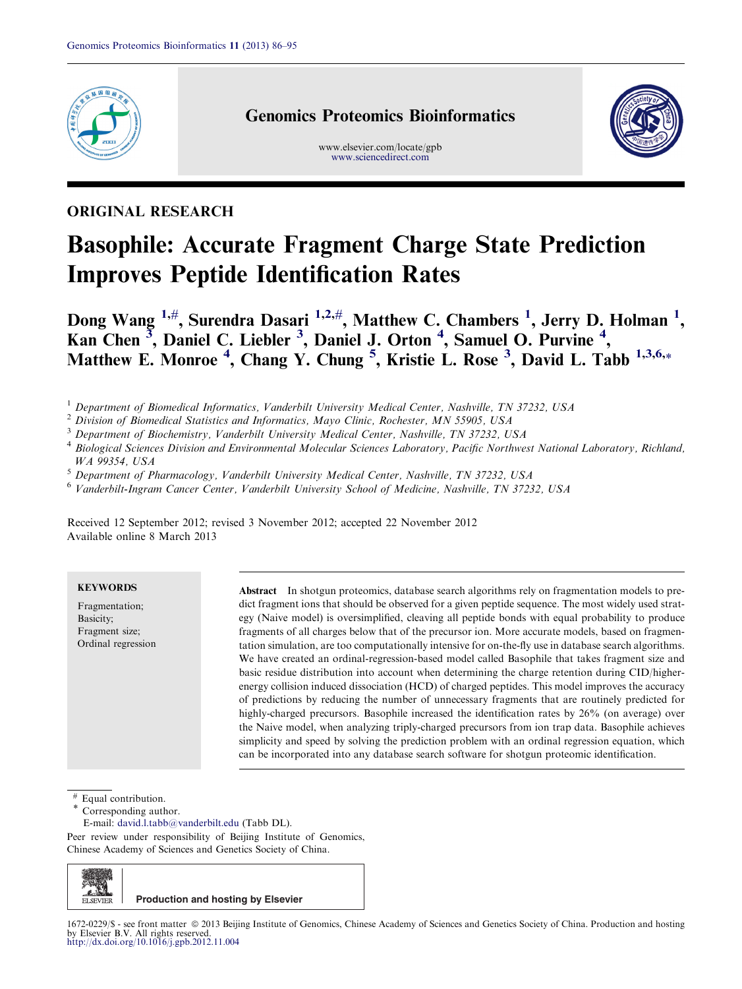

# Genomics Proteomics Bioinformatics

www.elsevier.com/locate/gpb [www.sciencedirect.com](http://www.sciencedirect.com)



# ORIGINAL RESEARCH

# Basophile: Accurate Fragment Charge State Prediction Improves Peptide Identification Rates

Dong Wang  $^{1,\#},$  Surendra Dasari  $^{1,2,\#},$  Matthew C. Chambers  $^1,$  Jerry D. Holman  $^1,$ Kan Chen<sup>3</sup>, Daniel C. Liebler<sup>3</sup>, Daniel J. Orton<sup>4</sup>, Samuel O. Purvine<sup>4</sup>, Matthew E. Monroe<sup>4</sup>, Chang Y. Chung<sup>5</sup>, Kristie L. Rose<sup>3</sup>, David L. Tabb<sup>1,3,6,</sup>\*

<sup>1</sup> Department of Biomedical Informatics, Vanderbilt University Medical Center, Nashville, TN 37232, USA

<sup>2</sup> Division of Biomedical Statistics and Informatics, Mayo Clinic, Rochester, MN 55905, USA

<sup>3</sup> Department of Biochemistry, Vanderbilt University Medical Center, Nashville, TN 37232, USA

<sup>4</sup> Biological Sciences Division and Environmental Molecular Sciences Laboratory, Pacific Northwest National Laboratory, Richland, WA 99354, USA

<sup>5</sup> Department of Pharmacology, Vanderbilt University Medical Center, Nashville, TN 37232, USA

<sup>6</sup> Vanderbilt-Ingram Cancer Center, Vanderbilt University School of Medicine, Nashville, TN 37232, USA

Received 12 September 2012; revised 3 November 2012; accepted 22 November 2012 Available online 8 March 2013

## **KEYWORDS**

Fragmentation; Basicity; Fragment size; Ordinal regression Abstract In shotgun proteomics, database search algorithms rely on fragmentation models to predict fragment ions that should be observed for a given peptide sequence. The most widely used strategy (Naive model) is oversimplified, cleaving all peptide bonds with equal probability to produce fragments of all charges below that of the precursor ion. More accurate models, based on fragmentation simulation, are too computationally intensive for on-the-fly use in database search algorithms. We have created an ordinal-regression-based model called Basophile that takes fragment size and basic residue distribution into account when determining the charge retention during CID/higherenergy collision induced dissociation (HCD) of charged peptides. This model improves the accuracy of predictions by reducing the number of unnecessary fragments that are routinely predicted for highly-charged precursors. Basophile increased the identification rates by 26% (on average) over the Naive model, when analyzing triply-charged precursors from ion trap data. Basophile achieves simplicity and speed by solving the prediction problem with an ordinal regression equation, which can be incorporated into any database search software for shotgun proteomic identification.

Equal contribution.

Corresponding author.

E-mail: [david.l.tabb@vanderbilt.edu](mailto:david.l.tabb@vanderbilt.edu) (Tabb DL).

Peer review under responsibility of Beijing Institute of Genomics, Chinese Academy of Sciences and Genetics Society of China.

ELSEVIER **Production and hosting by Elsevier**

<sup>1672-0229/\$ -</sup> see front matter ª 2013 Beijing Institute of Genomics, Chinese Academy of Sciences and Genetics Society of China. Production and hosting by Elsevier B.V. All rights reserved. <http://dx.doi.org/10.1016/j.gpb.2012.11.004>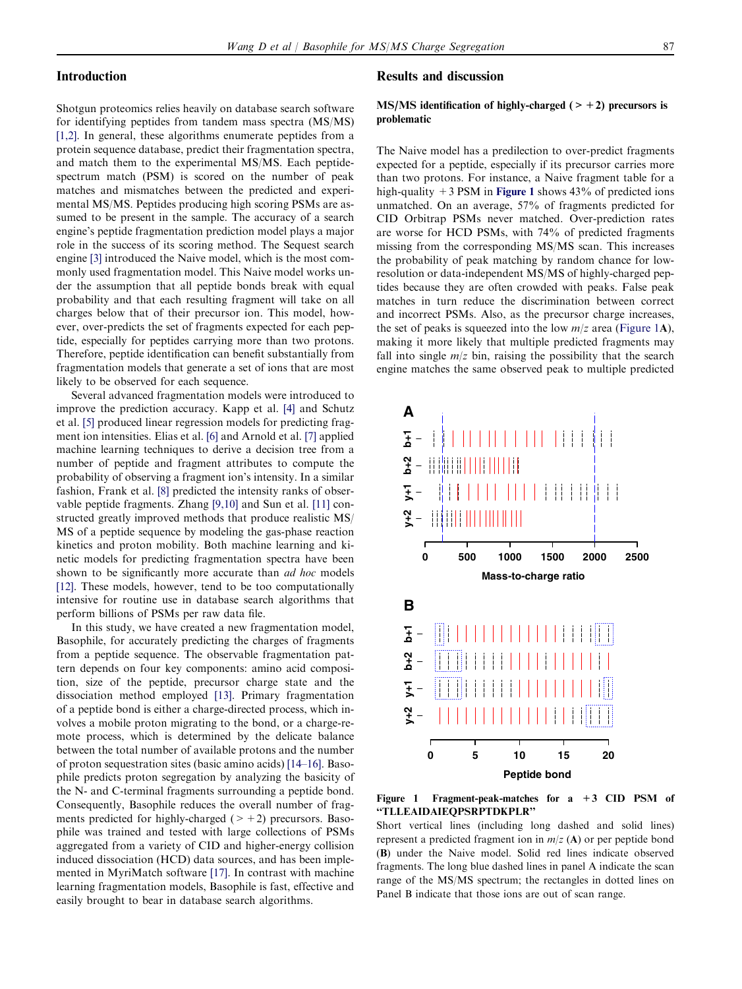# <span id="page-1-0"></span>Introduction

Shotgun proteomics relies heavily on database search software for identifying peptides from tandem mass spectra (MS/MS) [\[1,2\].](#page-8-0) In general, these algorithms enumerate peptides from a protein sequence database, predict their fragmentation spectra, and match them to the experimental MS/MS. Each peptidespectrum match (PSM) is scored on the number of peak matches and mismatches between the predicted and experimental MS/MS. Peptides producing high scoring PSMs are assumed to be present in the sample. The accuracy of a search engine's peptide fragmentation prediction model plays a major role in the success of its scoring method. The Sequest search engine [\[3\]](#page-8-0) introduced the Naive model, which is the most commonly used fragmentation model. This Naive model works under the assumption that all peptide bonds break with equal probability and that each resulting fragment will take on all charges below that of their precursor ion. This model, however, over-predicts the set of fragments expected for each peptide, especially for peptides carrying more than two protons. Therefore, peptide identification can benefit substantially from fragmentation models that generate a set of ions that are most likely to be observed for each sequence.

Several advanced fragmentation models were introduced to improve the prediction accuracy. Kapp et al. [\[4\]](#page-8-0) and Schutz et al. [\[5\]](#page-8-0) produced linear regression models for predicting fragment ion intensities. Elias et al. [\[6\]](#page-8-0) and Arnold et al. [\[7\]](#page-8-0) applied machine learning techniques to derive a decision tree from a number of peptide and fragment attributes to compute the probability of observing a fragment ion's intensity. In a similar fashion, Frank et al. [\[8\]](#page-8-0) predicted the intensity ranks of observable peptide fragments. Zhang [\[9,10\]](#page-8-0) and Sun et al. [\[11\]](#page-8-0) constructed greatly improved methods that produce realistic MS/ MS of a peptide sequence by modeling the gas-phase reaction kinetics and proton mobility. Both machine learning and kinetic models for predicting fragmentation spectra have been shown to be significantly more accurate than *ad hoc* models [\[12\]](#page-8-0). These models, however, tend to be too computationally intensive for routine use in database search algorithms that perform billions of PSMs per raw data file.

In this study, we have created a new fragmentation model, Basophile, for accurately predicting the charges of fragments from a peptide sequence. The observable fragmentation pattern depends on four key components: amino acid composition, size of the peptide, precursor charge state and the dissociation method employed [\[13\]](#page-8-0). Primary fragmentation of a peptide bond is either a charge-directed process, which involves a mobile proton migrating to the bond, or a charge-remote process, which is determined by the delicate balance between the total number of available protons and the number of proton sequestration sites (basic amino acids) [\[14–16\].](#page-8-0) Basophile predicts proton segregation by analyzing the basicity of the N- and C-terminal fragments surrounding a peptide bond. Consequently, Basophile reduces the overall number of fragments predicted for highly-charged  $(>+2)$  precursors. Basophile was trained and tested with large collections of PSMs aggregated from a variety of CID and higher-energy collision induced dissociation (HCD) data sources, and has been implemented in MyriMatch software [\[17\].](#page-8-0) In contrast with machine learning fragmentation models, Basophile is fast, effective and easily brought to bear in database search algorithms.

# Results and discussion

# MS/MS identification of highly-charged  $(> +2)$  precursors is problematic

The Naive model has a predilection to over-predict fragments expected for a peptide, especially if its precursor carries more than two protons. For instance, a Naive fragment table for a high-quality  $+3$  PSM in Figure 1 shows 43% of predicted ions unmatched. On an average, 57% of fragments predicted for CID Orbitrap PSMs never matched. Over-prediction rates are worse for HCD PSMs, with 74% of predicted fragments missing from the corresponding MS/MS scan. This increases the probability of peak matching by random chance for lowresolution or data-independent MS/MS of highly-charged peptides because they are often crowded with peaks. False peak matches in turn reduce the discrimination between correct and incorrect PSMs. Also, as the precursor charge increases, the set of peaks is squeezed into the low  $m/z$  area (Figure 1A), making it more likely that multiple predicted fragments may fall into single  $m/z$  bin, raising the possibility that the search engine matches the same observed peak to multiple predicted



Figure 1 Fragment-peak-matches for a +3 CID PSM of ''TLLEAIDAIEQPSRPTDKPLR''

Short vertical lines (including long dashed and solid lines) represent a predicted fragment ion in  $m/z$  (A) or per peptide bond (B) under the Naive model. Solid red lines indicate observed fragments. The long blue dashed lines in panel A indicate the scan range of the MS/MS spectrum; the rectangles in dotted lines on Panel B indicate that those ions are out of scan range.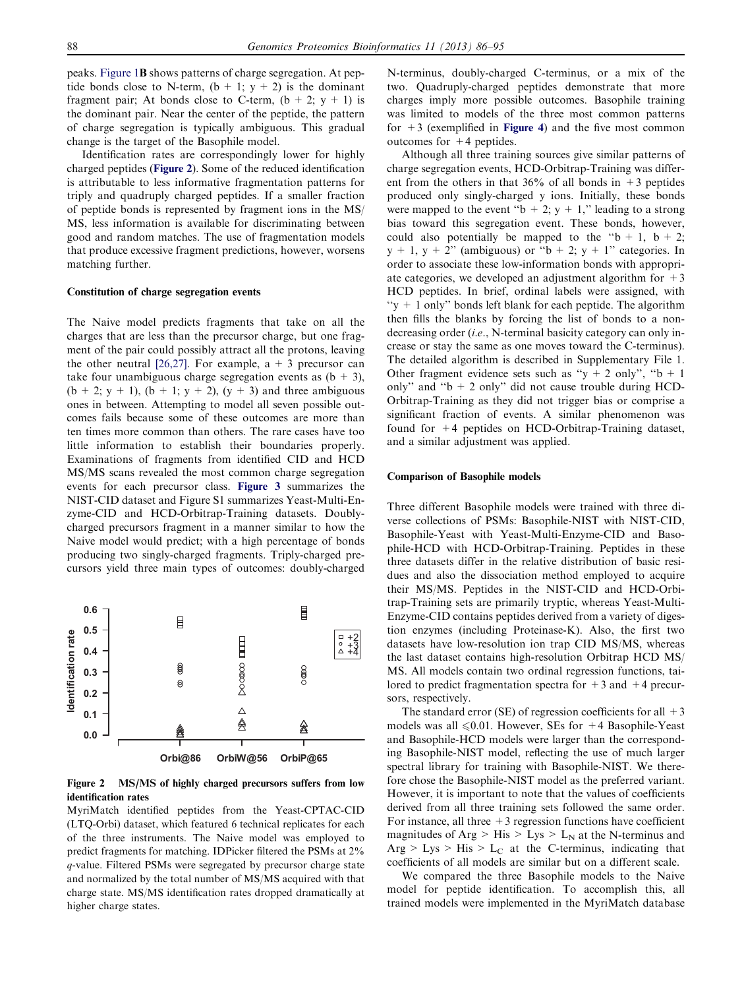peaks. [Figure 1](#page-1-0)B shows patterns of charge segregation. At peptide bonds close to N-term,  $(b + 1; y + 2)$  is the dominant fragment pair; At bonds close to C-term,  $(b + 2; y + 1)$  is the dominant pair. Near the center of the peptide, the pattern of charge segregation is typically ambiguous. This gradual change is the target of the Basophile model.

Identification rates are correspondingly lower for highly charged peptides (Figure 2). Some of the reduced identification is attributable to less informative fragmentation patterns for triply and quadruply charged peptides. If a smaller fraction of peptide bonds is represented by fragment ions in the MS/ MS, less information is available for discriminating between good and random matches. The use of fragmentation models that produce excessive fragment predictions, however, worsens matching further.

#### Constitution of charge segregation events

The Naive model predicts fragments that take on all the charges that are less than the precursor charge, but one fragment of the pair could possibly attract all the protons, leaving the other neutral [\[26,27\]](#page-9-0). For example,  $a + 3$  precursor can take four unambiguous charge segregation events as  $(b + 3)$ ,  $(b + 2; y + 1)$ ,  $(b + 1; y + 2)$ ,  $(y + 3)$  and three ambiguous ones in between. Attempting to model all seven possible outcomes fails because some of these outcomes are more than ten times more common than others. The rare cases have too little information to establish their boundaries properly. Examinations of fragments from identified CID and HCD MS/MS scans revealed the most common charge segregation events for each precursor class. [Figure 3](#page-3-0) summarizes the NIST-CID dataset and Figure S1 summarizes Yeast-Multi-Enzyme-CID and HCD-Orbitrap-Training datasets. Doublycharged precursors fragment in a manner similar to how the Naive model would predict; with a high percentage of bonds producing two singly-charged fragments. Triply-charged precursors yield three main types of outcomes: doubly-charged



Figure 2 MS/MS of highly charged precursors suffers from low identification rates

MyriMatch identified peptides from the Yeast-CPTAC-CID (LTQ-Orbi) dataset, which featured 6 technical replicates for each of the three instruments. The Naive model was employed to predict fragments for matching. IDPicker filtered the PSMs at 2% q-value. Filtered PSMs were segregated by precursor charge state and normalized by the total number of MS/MS acquired with that charge state. MS/MS identification rates dropped dramatically at higher charge states.

N-terminus, doubly-charged C-terminus, or a mix of the two. Quadruply-charged peptides demonstrate that more charges imply more possible outcomes. Basophile training was limited to models of the three most common patterns for  $+3$  (exemplified in **[Figure 4](#page-3-0))** and the five most common outcomes for  $+4$  peptides.

Although all three training sources give similar patterns of charge segregation events, HCD-Orbitrap-Training was different from the others in that  $36\%$  of all bonds in  $+3$  peptides produced only singly-charged y ions. Initially, these bonds were mapped to the event " $b + 2$ ;  $y + 1$ ," leading to a strong bias toward this segregation event. These bonds, however, could also potentially be mapped to the " $b + 1$ ,  $b + 2$ ;  $y + 1$ ,  $y + 2$ " (ambiguous) or " $b + 2$ ;  $y + 1$ " categories. In order to associate these low-information bonds with appropriate categories, we developed an adjustment algorithm for  $+3$ HCD peptides. In brief, ordinal labels were assigned, with " $y + 1$  only" bonds left blank for each peptide. The algorithm then fills the blanks by forcing the list of bonds to a nondecreasing order *(i.e.*, N-terminal basicity category can only increase or stay the same as one moves toward the C-terminus). The detailed algorithm is described in Supplementary File 1. Other fragment evidence sets such as "y + 2 only", " $b + 1$ only" and " $b + 2$  only" did not cause trouble during HCD-Orbitrap-Training as they did not trigger bias or comprise a significant fraction of events. A similar phenomenon was found for +4 peptides on HCD-Orbitrap-Training dataset, and a similar adjustment was applied.

#### Comparison of Basophile models

Three different Basophile models were trained with three diverse collections of PSMs: Basophile-NIST with NIST-CID, Basophile-Yeast with Yeast-Multi-Enzyme-CID and Basophile-HCD with HCD-Orbitrap-Training. Peptides in these three datasets differ in the relative distribution of basic residues and also the dissociation method employed to acquire their MS/MS. Peptides in the NIST-CID and HCD-Orbitrap-Training sets are primarily tryptic, whereas Yeast-Multi-Enzyme-CID contains peptides derived from a variety of digestion enzymes (including Proteinase-K). Also, the first two datasets have low-resolution ion trap CID MS/MS, whereas the last dataset contains high-resolution Orbitrap HCD MS/ MS. All models contain two ordinal regression functions, tailored to predict fragmentation spectra for  $+3$  and  $+4$  precursors, respectively.

The standard error (SE) of regression coefficients for all  $+3$ models was all  $\leq 0.01$ . However, SEs for +4 Basophile-Yeast and Basophile-HCD models were larger than the corresponding Basophile-NIST model, reflecting the use of much larger spectral library for training with Basophile-NIST. We therefore chose the Basophile-NIST model as the preferred variant. However, it is important to note that the values of coefficients derived from all three training sets followed the same order. For instance, all three  $+3$  regression functions have coefficient magnitudes of Arg > His > Lys > L<sub>N</sub> at the N-terminus and Arg  $> Lys > His > L<sub>C</sub>$  at the C-terminus, indicating that coefficients of all models are similar but on a different scale.

We compared the three Basophile models to the Naive model for peptide identification. To accomplish this, all trained models were implemented in the MyriMatch database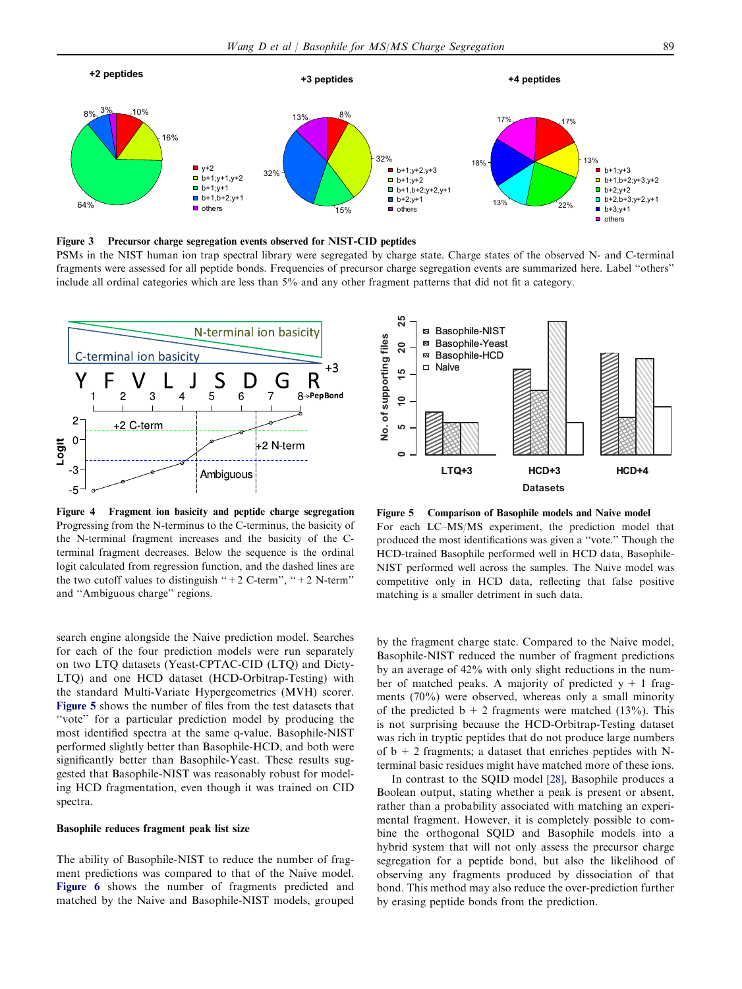<span id="page-3-0"></span>

Figure 3 Precursor charge segregation events observed for NIST-CID peptides

PSMs in the NIST human ion trap spectral library were segregated by charge state. Charge states of the observed N- and C-terminal fragments were assessed for all peptide bonds. Frequencies of precursor charge segregation events are summarized here. Label ''others'' include all ordinal categories which are less than 5% and any other fragment patterns that did not fit a category.



Figure 4 Fragment ion basicity and peptide charge segregation Progressing from the N-terminus to the C-terminus, the basicity of the N-terminal fragment increases and the basicity of the Cterminal fragment decreases. Below the sequence is the ordinal logit calculated from regression function, and the dashed lines are the two cutoff values to distinguish " $+2$  C-term", " $+2$  N-term" and ''Ambiguous charge'' regions.

search engine alongside the Naive prediction model. Searches for each of the four prediction models were run separately on two LTQ datasets (Yeast-CPTAC-CID (LTQ) and Dicty-LTQ) and one HCD dataset (HCD-Orbitrap-Testing) with the standard Multi-Variate Hypergeometrics (MVH) scorer. Figure 5 shows the number of files from the test datasets that "vote" for a particular prediction model by producing the most identified spectra at the same q-value. Basophile-NIST performed slightly better than Basophile-HCD, and both were significantly better than Basophile-Yeast. These results suggested that Basophile-NIST was reasonably robust for modeling HCD fragmentation, even though it was trained on CID spectra.

#### Basophile reduces fragment peak list size

The ability of Basophile-NIST to reduce the number of fragment predictions was compared to that of the Naive model. [Figure 6](#page-4-0) shows the number of fragments predicted and matched by the Naive and Basophile-NIST models, grouped



Figure 5 Comparison of Basophile models and Naive model For each LC–MS/MS experiment, the prediction model that produced the most identifications was given a ''vote.'' Though the HCD-trained Basophile performed well in HCD data, Basophile-NIST performed well across the samples. The Naive model was competitive only in HCD data, reflecting that false positive matching is a smaller detriment in such data.

by the fragment charge state. Compared to the Naive model, Basophile-NIST reduced the number of fragment predictions by an average of 42% with only slight reductions in the number of matched peaks. A majority of predicted  $y + 1$  fragments (70%) were observed, whereas only a small minority of the predicted  $b + 2$  fragments were matched (13%). This is not surprising because the HCD-Orbitrap-Testing dataset was rich in tryptic peptides that do not produce large numbers of  $b + 2$  fragments; a dataset that enriches peptides with Nterminal basic residues might have matched more of these ions.

In contrast to the SQID model [\[28\],](#page-9-0) Basophile produces a Boolean output, stating whether a peak is present or absent, rather than a probability associated with matching an experimental fragment. However, it is completely possible to combine the orthogonal SQID and Basophile models into a hybrid system that will not only assess the precursor charge segregation for a peptide bond, but also the likelihood of observing any fragments produced by dissociation of that bond. This method may also reduce the over-prediction further by erasing peptide bonds from the prediction.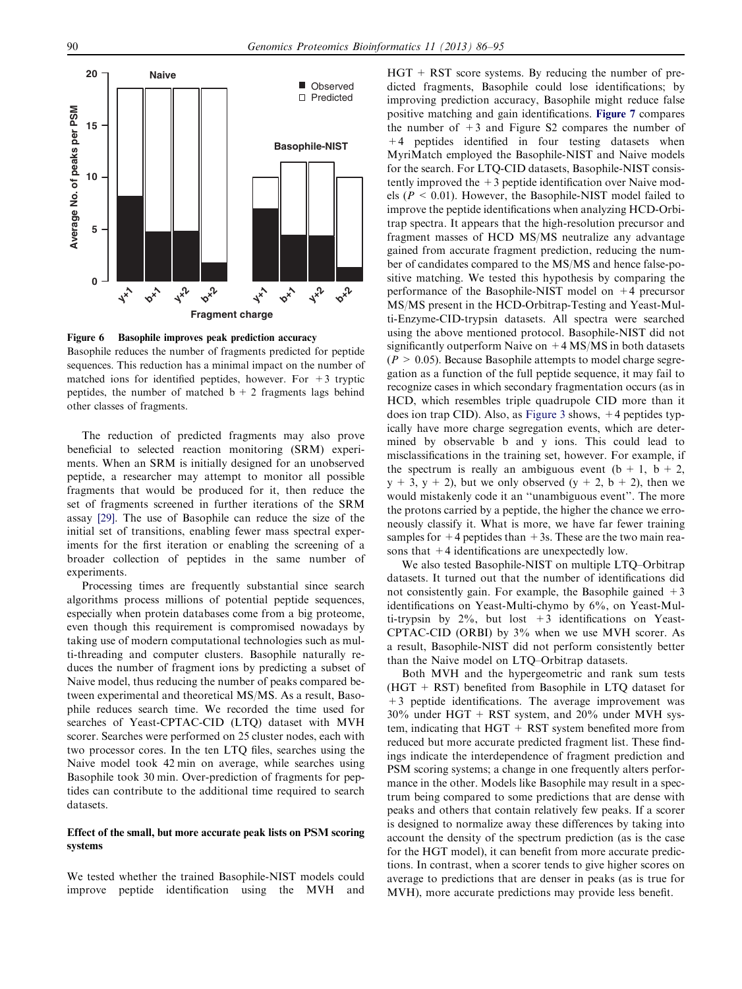<span id="page-4-0"></span>

Figure 6 Basophile improves peak prediction accuracy Basophile reduces the number of fragments predicted for peptide sequences. This reduction has a minimal impact on the number of matched ions for identified peptides, however. For  $+3$  tryptic peptides, the number of matched  $b + 2$  fragments lags behind other classes of fragments.

The reduction of predicted fragments may also prove beneficial to selected reaction monitoring (SRM) experiments. When an SRM is initially designed for an unobserved peptide, a researcher may attempt to monitor all possible fragments that would be produced for it, then reduce the set of fragments screened in further iterations of the SRM assay [\[29\]](#page-9-0). The use of Basophile can reduce the size of the initial set of transitions, enabling fewer mass spectral experiments for the first iteration or enabling the screening of a broader collection of peptides in the same number of experiments.

Processing times are frequently substantial since search algorithms process millions of potential peptide sequences, especially when protein databases come from a big proteome, even though this requirement is compromised nowadays by taking use of modern computational technologies such as multi-threading and computer clusters. Basophile naturally reduces the number of fragment ions by predicting a subset of Naive model, thus reducing the number of peaks compared between experimental and theoretical MS/MS. As a result, Basophile reduces search time. We recorded the time used for searches of Yeast-CPTAC-CID (LTQ) dataset with MVH scorer. Searches were performed on 25 cluster nodes, each with two processor cores. In the ten LTQ files, searches using the Naive model took 42 min on average, while searches using Basophile took 30 min. Over-prediction of fragments for peptides can contribute to the additional time required to search datasets.

#### Effect of the small, but more accurate peak lists on PSM scoring systems

We tested whether the trained Basophile-NIST models could improve peptide identification using the MVH and  $HGT + RST$  score systems. By reducing the number of predicted fragments, Basophile could lose identifications; by improving prediction accuracy, Basophile might reduce false positive matching and gain identifications. [Figure 7](#page-5-0) compares the number of  $+3$  and Figure S2 compares the number of  $+4$  peptides identified in four testing datasets when MyriMatch employed the Basophile-NIST and Naive models for the search. For LTQ-CID datasets, Basophile-NIST consistently improved the  $+3$  peptide identification over Naive models ( $P < 0.01$ ). However, the Basophile-NIST model failed to improve the peptide identifications when analyzing HCD-Orbitrap spectra. It appears that the high-resolution precursor and fragment masses of HCD MS/MS neutralize any advantage gained from accurate fragment prediction, reducing the number of candidates compared to the MS/MS and hence false-positive matching. We tested this hypothesis by comparing the performance of the Basophile-NIST model on +4 precursor MS/MS present in the HCD-Orbitrap-Testing and Yeast-Multi-Enzyme-CID-trypsin datasets. All spectra were searched using the above mentioned protocol. Basophile-NIST did not significantly outperform Naive on  $+4$  MS/MS in both datasets  $(P > 0.05)$ . Because Basophile attempts to model charge segregation as a function of the full peptide sequence, it may fail to recognize cases in which secondary fragmentation occurs (as in HCD, which resembles triple quadrupole CID more than it does ion trap CID). Also, as [Figure 3](#page-3-0) shows, +4 peptides typically have more charge segregation events, which are determined by observable b and y ions. This could lead to misclassifications in the training set, however. For example, if the spectrum is really an ambiguous event  $(b + 1, b + 2,$  $y + 3$ ,  $y + 2$ ), but we only observed  $(y + 2, b + 2)$ , then we would mistakenly code it an ''unambiguous event''. The more the protons carried by a peptide, the higher the chance we erroneously classify it. What is more, we have far fewer training samples for  $+4$  peptides than  $+3s$ . These are the two main reasons that  $+4$  identifications are unexpectedly low.

We also tested Basophile-NIST on multiple LTQ–Orbitrap datasets. It turned out that the number of identifications did not consistently gain. For example, the Basophile gained  $+3$ identifications on Yeast-Multi-chymo by 6%, on Yeast-Multi-trypsin by  $2\%$ , but lost  $+3$  identifications on Yeast-CPTAC-CID (ORBI) by 3% when we use MVH scorer. As a result, Basophile-NIST did not perform consistently better than the Naive model on LTQ–Orbitrap datasets.

Both MVH and the hypergeometric and rank sum tests (HGT + RST) benefited from Basophile in LTQ dataset for +3 peptide identifications. The average improvement was  $30\%$  under HGT + RST system, and  $20\%$  under MVH system, indicating that  $HGT + RST$  system benefited more from reduced but more accurate predicted fragment list. These findings indicate the interdependence of fragment prediction and PSM scoring systems; a change in one frequently alters performance in the other. Models like Basophile may result in a spectrum being compared to some predictions that are dense with peaks and others that contain relatively few peaks. If a scorer is designed to normalize away these differences by taking into account the density of the spectrum prediction (as is the case for the HGT model), it can benefit from more accurate predictions. In contrast, when a scorer tends to give higher scores on average to predictions that are denser in peaks (as is true for MVH), more accurate predictions may provide less benefit.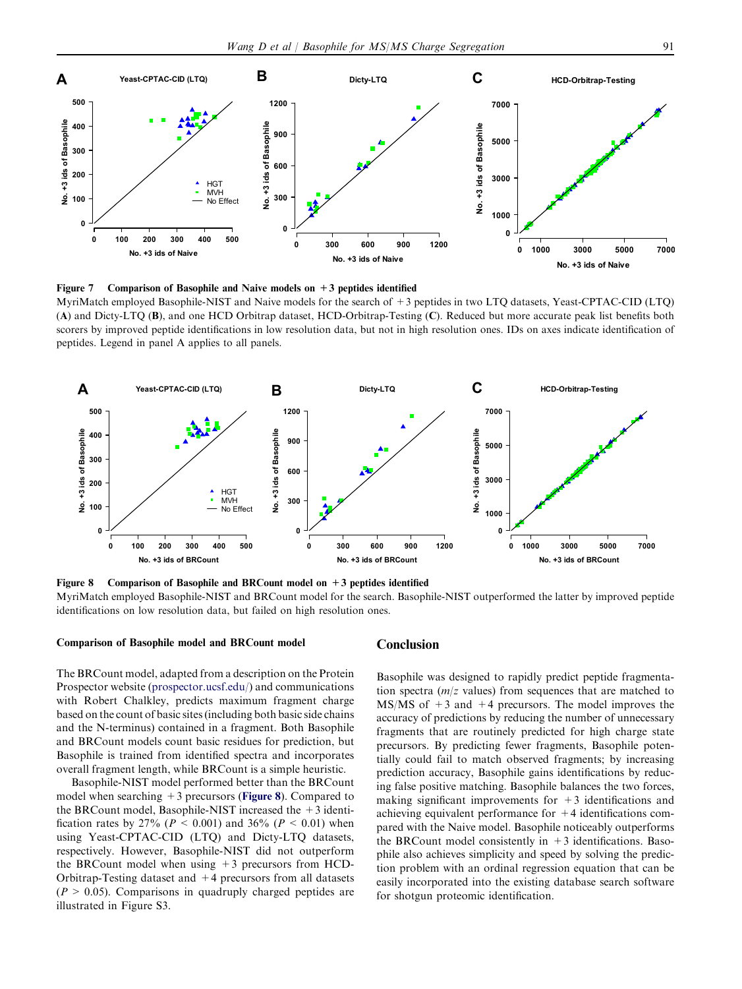<span id="page-5-0"></span>

Figure 7 Comparison of Basophile and Naive models on  $+3$  peptides identified MyriMatch employed Basophile-NIST and Naive models for the search of +3 peptides in two LTQ datasets, Yeast-CPTAC-CID (LTQ) (A) and Dicty-LTQ (B), and one HCD Orbitrap dataset, HCD-Orbitrap-Testing (C). Reduced but more accurate peak list benefits both scorers by improved peptide identifications in low resolution data, but not in high resolution ones. IDs on axes indicate identification of peptides. Legend in panel A applies to all panels.



Figure 8 Comparison of Basophile and BRCount model on  $+3$  peptides identified

MyriMatch employed Basophile-NIST and BRCount model for the search. Basophile-NIST outperformed the latter by improved peptide identifications on low resolution data, but failed on high resolution ones.

#### Comparison of Basophile model and BRCount model

**Conclusion** 

The BRCount model, adapted from a description on the Protein Prospector website ([prospector.ucsf.edu/\)](http://www.prospector.ucsf.edu) and communications with Robert Chalkley, predicts maximum fragment charge based on the count of basic sites (including both basic side chains and the N-terminus) contained in a fragment. Both Basophile and BRCount models count basic residues for prediction, but Basophile is trained from identified spectra and incorporates overall fragment length, while BRCount is a simple heuristic.

Basophile-NIST model performed better than the BRCount model when searching  $+3$  precursors (Figure 8). Compared to the BRCount model, Basophile-NIST increased the  $+3$  identification rates by 27% ( $P < 0.001$ ) and 36% ( $P < 0.01$ ) when using Yeast-CPTAC-CID (LTQ) and Dicty-LTQ datasets, respectively. However, Basophile-NIST did not outperform the BRCount model when using  $+3$  precursors from HCD-Orbitrap-Testing dataset and +4 precursors from all datasets  $(P > 0.05)$ . Comparisons in quadruply charged peptides are illustrated in Figure S3.

Basophile was designed to rapidly predict peptide fragmentation spectra  $(m/z$  values) from sequences that are matched to MS/MS of  $+3$  and  $+4$  precursors. The model improves the accuracy of predictions by reducing the number of unnecessary fragments that are routinely predicted for high charge state precursors. By predicting fewer fragments, Basophile potentially could fail to match observed fragments; by increasing prediction accuracy, Basophile gains identifications by reducing false positive matching. Basophile balances the two forces, making significant improvements for  $+3$  identifications and achieving equivalent performance for  $+4$  identifications compared with the Naive model. Basophile noticeably outperforms the BRCount model consistently in  $+3$  identifications. Basophile also achieves simplicity and speed by solving the prediction problem with an ordinal regression equation that can be easily incorporated into the existing database search software for shotgun proteomic identification.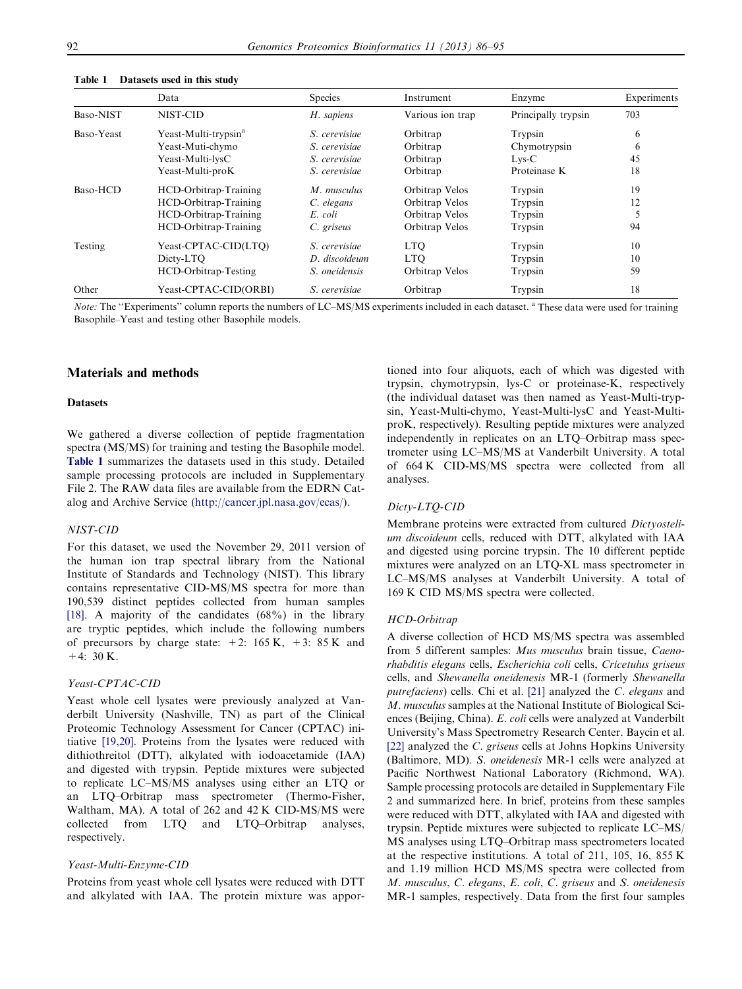|            | Data                             | <b>Species</b> | Instrument       | Enzyme              | Experiments |
|------------|----------------------------------|----------------|------------------|---------------------|-------------|
| Baso-NIST  | NIST-CID                         | H. sapiens     | Various ion trap | Principally trypsin | 703         |
| Baso-Yeast | Yeast-Multi-trypsin <sup>a</sup> | S. cerevisiae  | Orbitrap         | Trypsin             | 6           |
|            | Yeast-Muti-chymo                 | S. cerevisiae  | Orbitrap         | Chymotrypsin        | 6           |
|            | Yeast-Multi-lysC                 | S. cerevisiae  | Orbitrap         | $Lys-C$             | 45          |
|            | Yeast-Multi-proK                 | S. cerevisiae  | Orbitrap         | Proteinase K        | 18          |
| Baso-HCD   | HCD-Orbitrap-Training            | M. musculus    | Orbitrap Velos   | Trypsin             | 19          |
|            | HCD-Orbitrap-Training            | C. elegans     | Orbitrap Velos   | Trypsin             | 12          |
|            | HCD-Orbitrap-Training            | E. coli        | Orbitrap Velos   | Trypsin             |             |
|            | HCD-Orbitrap-Training            | C. griseus     | Orbitrap Velos   | Trypsin             | 94          |
| Testing    | Yeast-CPTAC-CID(LTO)             | S. cerevisiae  | <b>LTO</b>       | Trypsin             | 10          |
|            | Dicty-LTO                        | D. discoideum  | <b>LTO</b>       | Trypsin             | 10          |
|            | HCD-Orbitrap-Testing             | S. oneidensis  | Orbitrap Velos   | Trypsin             | 59          |
| Other      | Yeast-CPTAC-CID(ORBI)            | S. cerevisiae  | Orbitrap         | Trypsin             | 18          |

<span id="page-6-0"></span>Table 1 Datasets used in this study

Note: The "Experiments" column reports the numbers of LC–MS/MS experiments included in each dataset. <sup>a</sup> These data were used for training Basophile–Yeast and testing other Basophile models.

#### Materials and methods

#### **Datasets**

We gathered a diverse collection of peptide fragmentation spectra (MS/MS) for training and testing the Basophile model. Table 1 summarizes the datasets used in this study. Detailed sample processing protocols are included in Supplementary File 2. The RAW data files are available from the EDRN Catalog and Archive Service ([http://cancer.jpl.nasa.gov/ecas/\)](http://www.cancer.jpl.nasa.gov).

#### NIST-CID

For this dataset, we used the November 29, 2011 version of the human ion trap spectral library from the National Institute of Standards and Technology (NIST). This library contains representative CID-MS/MS spectra for more than 190,539 distinct peptides collected from human samples [\[18\].](#page-8-0) A majority of the candidates (68%) in the library are tryptic peptides, which include the following numbers of precursors by charge state:  $+2$ : 165 K,  $+3$ : 85 K and  $+4:30 K.$ 

#### Yeast-CPTAC-CID

Yeast whole cell lysates were previously analyzed at Vanderbilt University (Nashville, TN) as part of the Clinical Proteomic Technology Assessment for Cancer (CPTAC) initiative [\[19,20\]](#page-8-0). Proteins from the lysates were reduced with dithiothreitol (DTT), alkylated with iodoacetamide (IAA) and digested with trypsin. Peptide mixtures were subjected to replicate LC–MS/MS analyses using either an LTQ or an LTQ–Orbitrap mass spectrometer (Thermo-Fisher, Waltham, MA). A total of 262 and 42 K CID-MS/MS were collected from LTQ and LTQ–Orbitrap analyses, respectively.

#### Yeast-Multi-Enzyme-CID

Proteins from yeast whole cell lysates were reduced with DTT and alkylated with IAA. The protein mixture was appor-

tioned into four aliquots, each of which was digested with trypsin, chymotrypsin, lys-C or proteinase-K, respectively (the individual dataset was then named as Yeast-Multi-trypsin, Yeast-Multi-chymo, Yeast-Multi-lysC and Yeast-MultiproK, respectively). Resulting peptide mixtures were analyzed independently in replicates on an LTQ–Orbitrap mass spectrometer using LC–MS/MS at Vanderbilt University. A total of 664 K CID-MS/MS spectra were collected from all analyses.

#### Dicty-LTQ-CID

Membrane proteins were extracted from cultured Dictyostelium discoideum cells, reduced with DTT, alkylated with IAA and digested using porcine trypsin. The 10 different peptide mixtures were analyzed on an LTQ-XL mass spectrometer in LC–MS/MS analyses at Vanderbilt University. A total of 169 K CID MS/MS spectra were collected.

#### HCD-Orbitrap

A diverse collection of HCD MS/MS spectra was assembled from 5 different samples: Mus musculus brain tissue, Caenorhabditis elegans cells, Escherichia coli cells, Cricetulus griseus cells, and Shewanella oneidenesis MR-1 (formerly Shewanella putrefaciens) cells. Chi et al. [\[21\]](#page-9-0) analyzed the C. elegans and M. musculus samples at the National Institute of Biological Sciences (Beijing, China). E. coli cells were analyzed at Vanderbilt University's Mass Spectrometry Research Center. Baycin et al. [\[22\]](#page-9-0) analyzed the C. griseus cells at Johns Hopkins University (Baltimore, MD). S. oneidenesis MR-1 cells were analyzed at Pacific Northwest National Laboratory (Richmond, WA). Sample processing protocols are detailed in Supplementary File 2 and summarized here. In brief, proteins from these samples were reduced with DTT, alkylated with IAA and digested with trypsin. Peptide mixtures were subjected to replicate LC–MS/ MS analyses using LTQ–Orbitrap mass spectrometers located at the respective institutions. A total of 211, 105, 16, 855 K and 1.19 million HCD MS/MS spectra were collected from M. musculus, C. elegans, E. coli, C. griseus and S. oneidenesis MR-1 samples, respectively. Data from the first four samples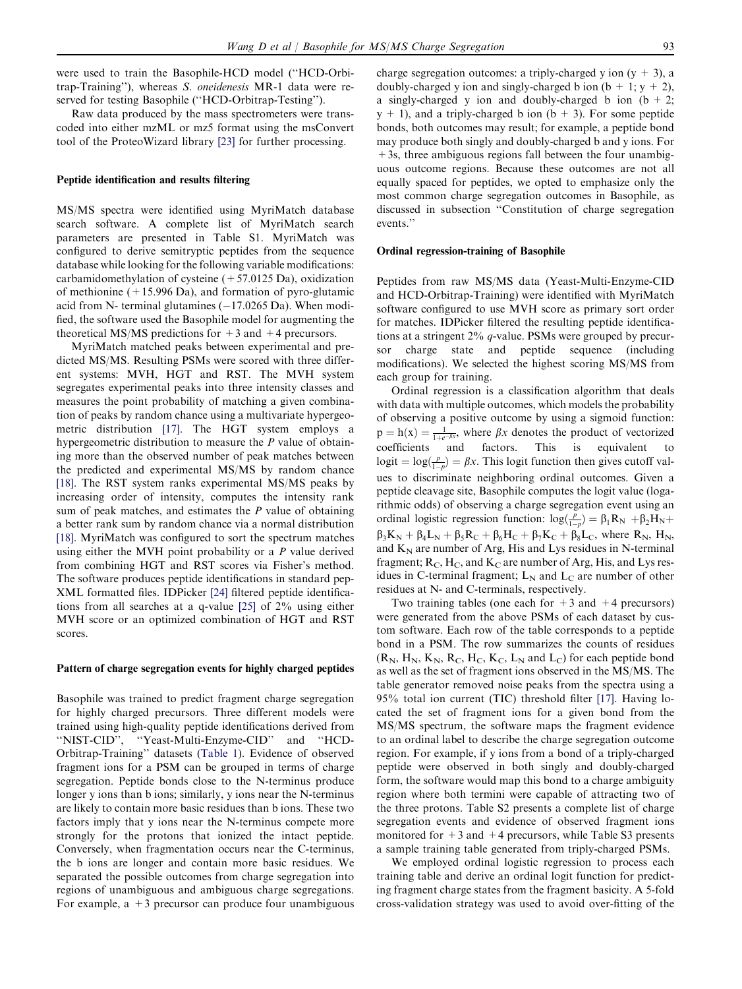were used to train the Basophile-HCD model (''HCD-Orbitrap-Training''), whereas S. oneidenesis MR-1 data were reserved for testing Basophile (''HCD-Orbitrap-Testing'').

Raw data produced by the mass spectrometers were transcoded into either mzML or mz5 format using the msConvert tool of the ProteoWizard library [\[23\]](#page-9-0) for further processing.

#### Peptide identification and results filtering

MS/MS spectra were identified using MyriMatch database search software. A complete list of MyriMatch search parameters are presented in Table S1. MyriMatch was configured to derive semitryptic peptides from the sequence database while looking for the following variable modifications: carbamidomethylation of cysteine  $(+57.0125 \text{ Da})$ , oxidization of methionine  $(+15.996 \text{ Da})$ , and formation of pyro-glutamic acid from N- terminal glutamines  $(-17.0265 \text{ Da})$ . When modified, the software used the Basophile model for augmenting the theoretical MS/MS predictions for  $+3$  and  $+4$  precursors.

MyriMatch matched peaks between experimental and predicted MS/MS. Resulting PSMs were scored with three different systems: MVH, HGT and RST. The MVH system segregates experimental peaks into three intensity classes and measures the point probability of matching a given combination of peaks by random chance using a multivariate hypergeometric distribution [\[17\]](#page-8-0). The HGT system employs a hypergeometric distribution to measure the  $P$  value of obtaining more than the observed number of peak matches between the predicted and experimental MS/MS by random chance [\[18\]](#page-8-0). The RST system ranks experimental MS/MS peaks by increasing order of intensity, computes the intensity rank sum of peak matches, and estimates the  $P$  value of obtaining a better rank sum by random chance via a normal distribution [\[18\]](#page-8-0). MyriMatch was configured to sort the spectrum matches using either the MVH point probability or a  $P$  value derived from combining HGT and RST scores via Fisher's method. The software produces peptide identifications in standard pep-XML formatted files. IDPicker [\[24\]](#page-9-0) filtered peptide identifications from all searches at a q-value [\[25\]](#page-9-0) of 2% using either MVH score or an optimized combination of HGT and RST scores.

#### Pattern of charge segregation events for highly charged peptides

Basophile was trained to predict fragment charge segregation for highly charged precursors. Three different models were trained using high-quality peptide identifications derived from ''NIST-CID'', ''Yeast-Multi-Enzyme-CID'' and ''HCD-Orbitrap-Training'' datasets [\(Table 1](#page-6-0)). Evidence of observed fragment ions for a PSM can be grouped in terms of charge segregation. Peptide bonds close to the N-terminus produce longer y ions than b ions; similarly, y ions near the N-terminus are likely to contain more basic residues than b ions. These two factors imply that y ions near the N-terminus compete more strongly for the protons that ionized the intact peptide. Conversely, when fragmentation occurs near the C-terminus, the b ions are longer and contain more basic residues. We separated the possible outcomes from charge segregation into regions of unambiguous and ambiguous charge segregations. For example,  $a + 3$  precursor can produce four unambiguous charge segregation outcomes: a triply-charged y ion  $(y + 3)$ , a doubly-charged y ion and singly-charged b ion  $(b + 1; y + 2)$ , a singly-charged y ion and doubly-charged b ion  $(b + 2)$ ;  $y + 1$ , and a triply-charged b ion (b + 3). For some peptide bonds, both outcomes may result; for example, a peptide bond may produce both singly and doubly-charged b and y ions. For +3s, three ambiguous regions fall between the four unambiguous outcome regions. Because these outcomes are not all equally spaced for peptides, we opted to emphasize only the most common charge segregation outcomes in Basophile, as discussed in subsection ''Constitution of charge segregation events.''

#### Ordinal regression-training of Basophile

Peptides from raw MS/MS data (Yeast-Multi-Enzyme-CID and HCD-Orbitrap-Training) were identified with MyriMatch software configured to use MVH score as primary sort order for matches. IDPicker filtered the resulting peptide identifications at a stringent 2% q-value. PSMs were grouped by precursor charge state and peptide sequence (including modifications). We selected the highest scoring MS/MS from each group for training.

Ordinal regression is a classification algorithm that deals with data with multiple outcomes, which models the probability of observing a positive outcome by using a sigmoid function:  $p = h(x) = \frac{1}{1 + e^{-\beta x}}$ , where  $\beta x$  denotes the product of vectorized coefficients and factors. This is equivalent to logit =  $log(\frac{p}{1-p}) = \beta x$ . This logit function then gives cutoff values to discriminate neighboring ordinal outcomes. Given a peptide cleavage site, Basophile computes the logit value (logarithmic odds) of observing a charge segregation event using an ordinal logistic regression function:  $\log(\frac{p}{1-p}) = \beta_1 R_N + \beta_2 H_N +$  $\beta_3 K_N + \beta_4 L_N + \beta_5 R_C + \beta_6 H_C + \beta_7 K_C + \beta_8 L_C$ , where  $R_N$ ,  $H_N$ , and  $K_N$  are number of Arg, His and Lys residues in N-terminal fragment;  $R_C$ ,  $H_C$ , and  $K_C$  are number of Arg, His, and Lys residues in C-terminal fragment;  $L_N$  and  $L_C$  are number of other residues at N- and C-terminals, respectively.

Two training tables (one each for  $+3$  and  $+4$  precursors) were generated from the above PSMs of each dataset by custom software. Each row of the table corresponds to a peptide bond in a PSM. The row summarizes the counts of residues  $(R_N, H_N, K_N, R_C, H_C, K_C, L_N$  and  $L_C$ ) for each peptide bond as well as the set of fragment ions observed in the MS/MS. The table generator removed noise peaks from the spectra using a 95% total ion current (TIC) threshold filter [\[17\]](#page-8-0). Having located the set of fragment ions for a given bond from the MS/MS spectrum, the software maps the fragment evidence to an ordinal label to describe the charge segregation outcome region. For example, if y ions from a bond of a triply-charged peptide were observed in both singly and doubly-charged form, the software would map this bond to a charge ambiguity region where both termini were capable of attracting two of the three protons. Table S2 presents a complete list of charge segregation events and evidence of observed fragment ions monitored for  $+3$  and  $+4$  precursors, while Table S3 presents a sample training table generated from triply-charged PSMs.

We employed ordinal logistic regression to process each training table and derive an ordinal logit function for predicting fragment charge states from the fragment basicity. A 5-fold cross-validation strategy was used to avoid over-fitting of the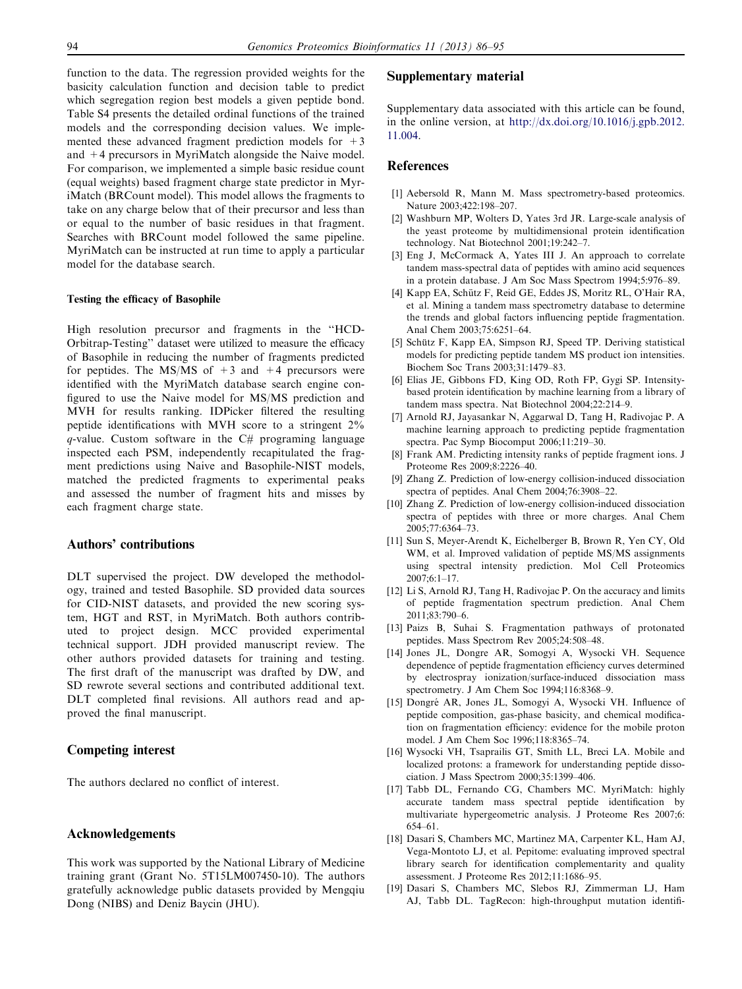<span id="page-8-0"></span>function to the data. The regression provided weights for the basicity calculation function and decision table to predict which segregation region best models a given peptide bond. Table S4 presents the detailed ordinal functions of the trained models and the corresponding decision values. We implemented these advanced fragment prediction models for  $+3$ and +4 precursors in MyriMatch alongside the Naive model. For comparison, we implemented a simple basic residue count (equal weights) based fragment charge state predictor in MyriMatch (BRCount model). This model allows the fragments to take on any charge below that of their precursor and less than or equal to the number of basic residues in that fragment. Searches with BRCount model followed the same pipeline. MyriMatch can be instructed at run time to apply a particular model for the database search.

#### Testing the efficacy of Basophile

High resolution precursor and fragments in the ''HCD-Orbitrap-Testing'' dataset were utilized to measure the efficacy of Basophile in reducing the number of fragments predicted for peptides. The MS/MS of  $+3$  and  $+4$  precursors were identified with the MyriMatch database search engine configured to use the Naive model for MS/MS prediction and MVH for results ranking. IDPicker filtered the resulting peptide identifications with MVH score to a stringent 2%  $q$ -value. Custom software in the  $C#$  programing language inspected each PSM, independently recapitulated the fragment predictions using Naive and Basophile-NIST models, matched the predicted fragments to experimental peaks and assessed the number of fragment hits and misses by each fragment charge state.

## Authors' contributions

DLT supervised the project. DW developed the methodology, trained and tested Basophile. SD provided data sources for CID-NIST datasets, and provided the new scoring system, HGT and RST, in MyriMatch. Both authors contributed to project design. MCC provided experimental technical support. JDH provided manuscript review. The other authors provided datasets for training and testing. The first draft of the manuscript was drafted by DW, and SD rewrote several sections and contributed additional text. DLT completed final revisions. All authors read and approved the final manuscript.

# Competing interest

The authors declared no conflict of interest.

# Acknowledgements

This work was supported by the National Library of Medicine training grant (Grant No. 5T15LM007450-10). The authors gratefully acknowledge public datasets provided by Mengqiu Dong (NIBS) and Deniz Baycin (JHU).

#### Supplementary material

Supplementary data associated with this article can be found, in the online version, at [http://dx.doi.org/10.1016/j.gpb.2012.](http://dx.doi.org/10.1016/j.gpb.2012.11.004) [11.004.](http://dx.doi.org/10.1016/j.gpb.2012.11.004)

## References

- [1] Aebersold R, Mann M. Mass spectrometry-based proteomics. Nature 2003;422:198–207.
- [2] Washburn MP, Wolters D, Yates 3rd JR. Large-scale analysis of the yeast proteome by multidimensional protein identification technology. Nat Biotechnol 2001;19:242–7.
- [3] Eng J, McCormack A, Yates III J. An approach to correlate tandem mass-spectral data of peptides with amino acid sequences in a protein database. J Am Soc Mass Spectrom 1994;5:976–89.
- [4] Kapp EA, Schütz F, Reid GE, Eddes JS, Moritz RL, O'Hair RA, et al. Mining a tandem mass spectrometry database to determine the trends and global factors influencing peptide fragmentation. Anal Chem 2003;75:6251–64.
- [5] Schütz F, Kapp EA, Simpson RJ, Speed TP. Deriving statistical models for predicting peptide tandem MS product ion intensities. Biochem Soc Trans 2003;31:1479–83.
- [6] Elias JE, Gibbons FD, King OD, Roth FP, Gygi SP. Intensitybased protein identification by machine learning from a library of tandem mass spectra. Nat Biotechnol 2004;22:214–9.
- [7] Arnold RJ, Jayasankar N, Aggarwal D, Tang H, Radivojac P. A machine learning approach to predicting peptide fragmentation spectra. Pac Symp Biocomput 2006;11:219–30.
- [8] Frank AM. Predicting intensity ranks of peptide fragment ions. J Proteome Res 2009;8:2226–40.
- [9] Zhang Z. Prediction of low-energy collision-induced dissociation spectra of peptides. Anal Chem 2004;76:3908–22.
- [10] Zhang Z. Prediction of low-energy collision-induced dissociation spectra of peptides with three or more charges. Anal Chem 2005;77:6364–73.
- [11] Sun S, Meyer-Arendt K, Eichelberger B, Brown R, Yen CY, Old WM, et al. Improved validation of peptide MS/MS assignments using spectral intensity prediction. Mol Cell Proteomics 2007;6:1–17.
- [12] Li S, Arnold RJ, Tang H, Radivojac P. On the accuracy and limits of peptide fragmentation spectrum prediction. Anal Chem 2011;83:790–6.
- [13] Paizs B, Suhai S. Fragmentation pathways of protonated peptides. Mass Spectrom Rev 2005;24:508–48.
- [14] Jones JL, Dongre AR, Somogyi A, Wysocki VH. Sequence dependence of peptide fragmentation efficiency curves determined by electrospray ionization/surface-induced dissociation mass spectrometry. J Am Chem Soc 1994;116:8368–9.
- [15] Dongré AR, Jones JL, Somogyi A, Wysocki VH. Influence of peptide composition, gas-phase basicity, and chemical modification on fragmentation efficiency: evidence for the mobile proton model. J Am Chem Soc 1996;118:8365–74.
- [16] Wysocki VH, Tsaprailis GT, Smith LL, Breci LA. Mobile and localized protons: a framework for understanding peptide dissociation. J Mass Spectrom 2000;35:1399–406.
- [17] Tabb DL, Fernando CG, Chambers MC. MyriMatch: highly accurate tandem mass spectral peptide identification by multivariate hypergeometric analysis. J Proteome Res 2007;6: 654–61.
- [18] Dasari S, Chambers MC, Martinez MA, Carpenter KL, Ham AJ, Vega-Montoto LJ, et al. Pepitome: evaluating improved spectral library search for identification complementarity and quality assessment. J Proteome Res 2012;11:1686–95.
- [19] Dasari S, Chambers MC, Slebos RJ, Zimmerman LJ, Ham AJ, Tabb DL. TagRecon: high-throughput mutation identifi-